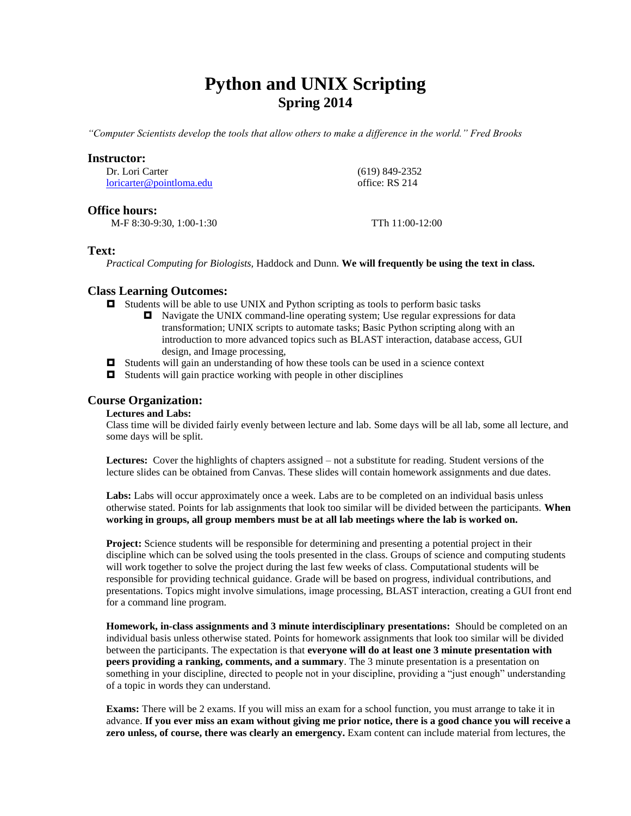# **Python and UNIX Scripting Spring 2014**

*"Computer Scientists develop the tools that allow others to make a difference in the world." Fred Brooks*

## **Instructor:**

Dr. Lori Carter [loricarter@pointloma.edu](mailto:loricarter@pointloma.edu)  (619) 849-2352 office: RS 214

## **Office hours:**

M-F 8:30-9:30, 1:00-1:30 TTh 11:00-12:00

## **Text:**

*Practical Computing for Biologists,* Haddock and Dunn. **We will frequently be using the text in class.**

## **Class Learning Outcomes:**

- $\Box$  Students will be able to use UNIX and Python scripting as tools to perform basic tasks
	- Navigate the UNIX command-line operating system; Use regular expressions for data transformation; UNIX scripts to automate tasks; Basic Python scripting along with an introduction to more advanced topics such as BLAST interaction, database access, GUI design, and Image processing,
- $\Box$  Students will gain an understanding of how these tools can be used in a science context
- $\Box$  Students will gain practice working with people in other disciplines

## **Course Organization:**

### **Lectures and Labs:**

Class time will be divided fairly evenly between lecture and lab. Some days will be all lab, some all lecture, and some days will be split.

**Lectures:** Cover the highlights of chapters assigned – not a substitute for reading. Student versions of the lecture slides can be obtained from Canvas. These slides will contain homework assignments and due dates.

**Labs:** Labs will occur approximately once a week. Labs are to be completed on an individual basis unless otherwise stated. Points for lab assignments that look too similar will be divided between the participants. **When working in groups, all group members must be at all lab meetings where the lab is worked on.**

**Project:** Science students will be responsible for determining and presenting a potential project in their discipline which can be solved using the tools presented in the class. Groups of science and computing students will work together to solve the project during the last few weeks of class. Computational students will be responsible for providing technical guidance. Grade will be based on progress, individual contributions, and presentations. Topics might involve simulations, image processing, BLAST interaction, creating a GUI front end for a command line program.

**Homework, in-class assignments and 3 minute interdisciplinary presentations:** Should be completed on an individual basis unless otherwise stated. Points for homework assignments that look too similar will be divided between the participants. The expectation is that **everyone will do at least one 3 minute presentation with peers providing a ranking, comments, and a summary**. The 3 minute presentation is a presentation on something in your discipline, directed to people not in your discipline, providing a "just enough" understanding of a topic in words they can understand.

**Exams:** There will be 2 exams. If you will miss an exam for a school function, you must arrange to take it in advance. **If you ever miss an exam without giving me prior notice, there is a good chance you will receive a zero unless, of course, there was clearly an emergency.** Exam content can include material from lectures, the